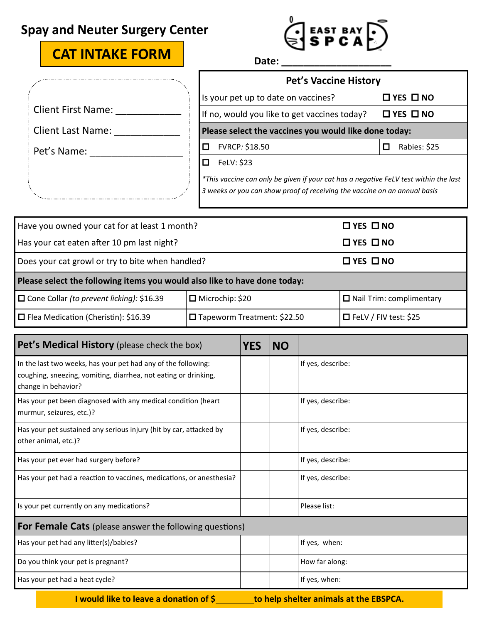## **Spay and Neuter Surgery Center**

# **CAT INTAKE FORM Date: \_\_\_\_\_\_\_\_\_\_\_\_\_\_\_\_\_\_\_\_**

|                           | <b>Pet's Vaccine History</b>                                                                                                                                      |                        |  |  |  |
|---------------------------|-------------------------------------------------------------------------------------------------------------------------------------------------------------------|------------------------|--|--|--|
|                           | Is your pet up to date on vaccines?                                                                                                                               | $\Box$ YES $\Box$ NO   |  |  |  |
| <b>Client First Name:</b> | If no, would you like to get vaccines today?                                                                                                                      | $\Box$ YES $\Box$ NO   |  |  |  |
| <b>Client Last Name:</b>  | Please select the vaccines you would like done today:                                                                                                             |                        |  |  |  |
| Pet's Name:               | FVRCP: \$18.50                                                                                                                                                    | Rabies: \$25<br>$\Box$ |  |  |  |
|                           | FeLV: \$23<br>П                                                                                                                                                   |                        |  |  |  |
|                           | *This vaccine can only be given if your cat has a negative FeLV test within the last<br>3 weeks or you can show proof of receiving the vaccine on an annual basis |                        |  |  |  |

| Have you owned your cat for at least 1 month?                             |                                    | $\Box$ YES $\Box$ NO            |  |  |  |
|---------------------------------------------------------------------------|------------------------------------|---------------------------------|--|--|--|
| Has your cat eaten after 10 pm last night?                                |                                    | $\Box$ YES $\Box$ NO            |  |  |  |
| Does your cat growl or try to bite when handled?                          |                                    | $\Box$ YES $\Box$ NO            |  |  |  |
| Please select the following items you would also like to have done today: |                                    |                                 |  |  |  |
| $\Box$ Cone Collar (to prevent licking): \$16.39                          | $\Box$ Microchip: \$20             | $\Box$ Nail Trim: complimentary |  |  |  |
| $\Box$ Flea Medication (Cheristin): \$16.39                               | $\Box$ Tapeworm Treatment: \$22.50 | $\Box$ FeLV / FIV test: \$25    |  |  |  |

| Pet's Medical History (please check the box)                                                                                                            | <b>YES</b> | <b>NO</b> |                   |  |  |
|---------------------------------------------------------------------------------------------------------------------------------------------------------|------------|-----------|-------------------|--|--|
| In the last two weeks, has your pet had any of the following:<br>coughing, sneezing, vomiting, diarrhea, not eating or drinking,<br>change in behavior? |            |           | If yes, describe: |  |  |
| Has your pet been diagnosed with any medical condition (heart<br>murmur, seizures, etc.)?                                                               |            |           | If yes, describe: |  |  |
| Has your pet sustained any serious injury (hit by car, attacked by<br>other animal, etc.)?                                                              |            |           | If yes, describe: |  |  |
| Has your pet ever had surgery before?                                                                                                                   |            |           | If yes, describe: |  |  |
| Has your pet had a reaction to vaccines, medications, or anesthesia?                                                                                    |            |           | If yes, describe: |  |  |
| Is your pet currently on any medications?                                                                                                               |            |           | Please list:      |  |  |
| For Female Cats (please answer the following questions)                                                                                                 |            |           |                   |  |  |
| Has your pet had any litter(s)/babies?                                                                                                                  |            |           | If yes, when:     |  |  |
| Do you think your pet is pregnant?                                                                                                                      |            |           | How far along:    |  |  |
| Has your pet had a heat cycle?                                                                                                                          |            |           | If yes, when:     |  |  |
| I would like to leave a donation of \$<br>to help shelter animals at the EBSPCA.                                                                        |            |           |                   |  |  |